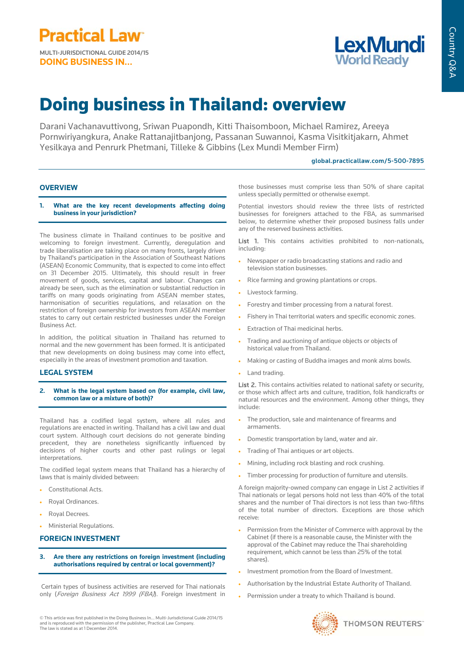**DOING BUSINESS IN...**



# Country Q&A Country Q&A

## Doing business in Thailand: overview

Darani Vachanavuttivong, Sriwan Puapondh, Kitti Thaisomboon, Michael Ramirez, Areeya Pornwiriyangkura, Anake Rattanajitbanjong, Passanan Suwannoi, Kasma Visitkitjakarn, Ahmet Yesilkaya and Penrurk Phetmani, Tilleke & Gibbins (Lex Mundi Member Firm)

## global.practicallaw.com/5-500-7895

## **OVERVIEW**

**1. What are the key recent developments affecting doing business in your jurisdiction?**

The business climate in Thailand continues to be positive and welcoming to foreign investment. Currently, deregulation and trade liberalisation are taking place on many fronts, largely driven by Thailand's participation in the Association of Southeast Nations (ASEAN) Economic Community, that is expected to come into effect on 31 December 2015. Ultimately, this should result in freer movement of goods, services, capital and labour. Changes can already be seen, such as the elimination or substantial reduction in tariffs on many goods originating from ASEAN member states, harmonisation of securities regulations, and relaxation on the restriction of foreign ownership for investors from ASEAN member states to carry out certain restricted businesses under the Foreign Business Act.

In addition, the political situation in Thailand has returned to normal and the new government has been formed. It is anticipated that new developments on doing business may come into effect, especially in the areas of investment promotion and taxation.

## **LEGAL SYSTEM**

**2. What is the legal system based on (for example, civil law, common law or a mixture of both)?**

Thailand has a codified legal system, where all rules and regulations are enacted in writing. Thailand has a civil law and dual court system. Although court decisions do not generate binding precedent, they are nonetheless significantly influenced by decisions of higher courts and other past rulings or legal interpretations.

The codified legal system means that Thailand has a hierarchy of laws that is mainly divided between:

- Constitutional Acts.
- Royal Ordinances.
- Royal Decrees.
- Ministerial Regulations.

## **FOREIGN INVESTMENT**

**3. Are there any restrictions on foreign investment (including authorisations required by central or local government)?** 

Certain types of business activities are reserved for Thai nationals only (Foreign Business Act 1999 (FBA)). Foreign investment in

© This article was first published in the Doing Business In... Multi-Jurisdictional Guide 2014/15 and is reproduced with the permission of the publisher, Practical Law Company. The law is stated as at 1 December 2014.

those businesses must comprise less than 50% of share capital unless specially permitted or otherwise exempt.

Potential investors should review the three lists of restricted businesses for foreigners attached to the FBA, as summarised below, to determine whether their proposed business falls under any of the reserved business activities.

List 1. This contains activities prohibited to non-nationals, including:

- Newspaper or radio broadcasting stations and radio and television station businesses.
- Rice farming and growing plantations or crops.
- Livestock farming.
- Forestry and timber processing from a natural forest.
- Fishery in Thai territorial waters and specific economic zones.
- Extraction of Thai medicinal herbs.
- Trading and auctioning of antique objects or objects of historical value from Thailand.
- Making or casting of Buddha images and monk alms bowls.
- Land trading.

List 2. This contains activities related to national safety or security, or those which affect arts and culture, tradition, folk handicrafts or natural resources and the environment. Among other things, they include:

- The production, sale and maintenance of firearms and armaments.
- Domestic transportation by land, water and air.
- Trading of Thai antiques or art objects.
- Mining, including rock blasting and rock crushing.
- Timber processing for production of furniture and utensils.

A foreign majority-owned company can engage in List 2 activities if Thai nationals or legal persons hold not less than 40% of the total shares and the number of Thai directors is not less than two-fifths of the total number of directors. Exceptions are those which receive:

- Permission from the Minister of Commerce with approval by the Cabinet (if there is a reasonable cause, the Minister with the approval of the Cabinet may reduce the Thai shareholding requirement, which cannot be less than 25% of the total shares).
- Investment promotion from the Board of Investment.
- Authorisation by the Industrial Estate Authority of Thailand.
- Permission under a treaty to which Thailand is bound.

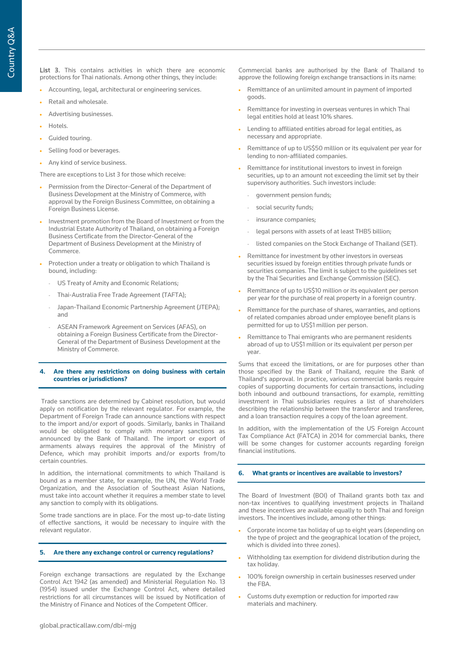List 3. This contains activities in which there are economic protections for Thai nationals. Among other things, they include:

- Accounting, legal, architectural or engineering services.
- Retail and wholesale.
- Advertising businesses.
- Hotels.
- Guided touring.
- Selling food or beverages.
- Any kind of service business.

There are exceptions to List 3 for those which receive:

- Permission from the Director-General of the Department of Business Development at the Ministry of Commerce, with approval by the Foreign Business Committee, on obtaining a Foreign Business License.
- Investment promotion from the Board of Investment or from the Industrial Estate Authority of Thailand, on obtaining a Foreign Business Certificate from the Director-General of the Department of Business Development at the Ministry of Commerce.
- Protection under a treaty or obligation to which Thailand is bound, including:
	- US Treaty of Amity and Economic Relations;
	- Thai-Australia Free Trade Agreement (TAFTA);
	- Japan-Thailand Economic Partnership Agreement (JTEPA); and
	- ASEAN Framework Agreement on Services (AFAS), on obtaining a Foreign Business Certificate from the Director-General of the Department of Business Development at the Ministry of Commerce.

## **4. Are there any restrictions on doing business with certain countries or jurisdictions?**

Trade sanctions are determined by Cabinet resolution, but would apply on notification by the relevant regulator. For example, the Department of Foreign Trade can announce sanctions with respect to the import and/or export of goods. Similarly, banks in Thailand would be obligated to comply with monetary sanctions as announced by the Bank of Thailand. The import or export of armaments always requires the approval of the Ministry of Defence, which may prohibit imports and/or exports from/to certain countries.

In addition, the international commitments to which Thailand is bound as a member state, for example, the UN, the World Trade Organization, and the Association of Southeast Asian Nations, must take into account whether it requires a member state to level any sanction to comply with its obligations.

Some trade sanctions are in place. For the most up-to-date listing of effective sanctions, it would be necessary to inquire with the relevant regulator.

## **5. Are there any exchange control or currency regulations?**

Foreign exchange transactions are regulated by the Exchange Control Act 1942 (as amended) and Ministerial Regulation No. 13 (1954) issued under the Exchange Control Act, where detailed restrictions for all circumstances will be issued by Notification of the Ministry of Finance and Notices of the Competent Officer.

Commercial banks are authorised by the Bank of Thailand to approve the following foreign exchange transactions in its name:

- Remittance of an unlimited amount in payment of imported goods.
- Remittance for investing in overseas ventures in which Thai legal entities hold at least 10% shares.
- Lending to affiliated entities abroad for legal entities, as necessary and appropriate.
- Remittance of up to US\$50 million or its equivalent per year for lending to non-affiliated companies.
- Remittance for institutional investors to invest in foreign securities, up to an amount not exceeding the limit set by their supervisory authorities. Such investors include:
	- government pension funds;
	- social security funds;
	- insurance companies:
	- legal persons with assets of at least THB5 billion;
	- listed companies on the Stock Exchange of Thailand (SET).
- Remittance for investment by other investors in overseas securities issued by foreign entities through private funds or securities companies. The limit is subject to the guidelines set by the Thai Securities and Exchange Commission (SEC).
- Remittance of up to US\$10 million or its equivalent per person per year for the purchase of real property in a foreign country.
- Remittance for the purchase of shares, warranties, and options of related companies abroad under employee benefit plans is permitted for up to US\$1 million per person.
- Remittance to Thai emigrants who are permanent residents abroad of up to US\$1 million or its equivalent per person per year.

Sums that exceed the limitations, or are for purposes other than those specified by the Bank of Thailand, require the Bank of Thailand's approval. In practice, various commercial banks require copies of supporting documents for certain transactions, including both inbound and outbound transactions, for example, remitting investment in Thai subsidiaries requires a list of shareholders describing the relationship between the transferor and transferee, and a loan transaction requires a copy of the loan agreement.

In addition, with the implementation of the US Foreign Account Tax Compliance Act (FATCA) in 2014 for commercial banks, there will be some changes for customer accounts regarding foreign financial institutions.

## **6. What grants or incentives are available to investors?**

The Board of Investment (BOI) of Thailand grants both tax and non-tax incentives to qualifying investment projects in Thailand and these incentives are available equally to both Thai and foreign investors. The incentives include, among other things:

- Corporate income tax holiday of up to eight years (depending on the type of project and the geographical location of the project, which is divided into three zones).
- Withholding tax exemption for dividend distribution during the tax holiday.
- 100% foreign ownership in certain businesses reserved under the FBA.
- Customs duty exemption or reduction for imported raw materials and machinery.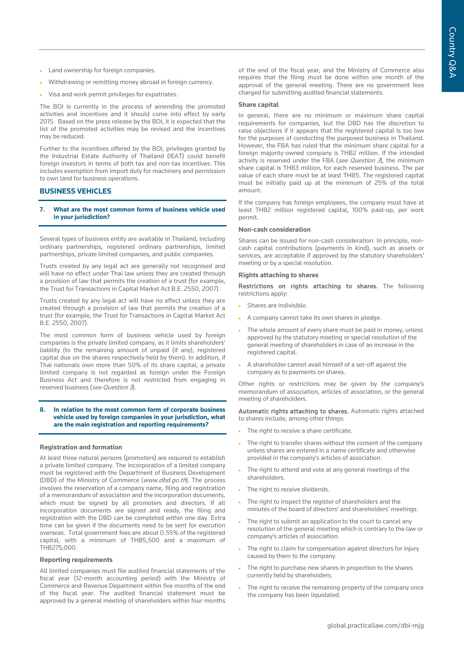- Land ownership for foreign companies.
- Withdrawing or remitting money abroad in foreign currency.
- Visa and work permit privileges for expatriates.

The BOI is currently in the process of amending the promoted activities and incentives and it should come into effect by early 2015. Based on the press release by the BOI, it is expected that the list of the promoted activities may be revised and the incentives may be reduced.

Further to the incentives offered by the BOI, privileges granted by the Industrial Estate Authority of Thailand (IEAT) could benefit foreign investors in terms of both tax and non-tax incentives. This includes exemption from import duty for machinery and permission to own land for business operations.

## **BUSINESS VEHICLES**

#### **7. What are the most common forms of business vehicle used in your jurisdiction?**

Several types of business entity are available in Thailand, including ordinary partnerships, registered ordinary partnerships, limited partnerships, private limited companies, and public companies.

Trusts created by any legal act are generally not recognised and will have no effect under Thai law unless they are created through a provision of law that permits the creation of a trust (for example, the Trust for Transactions in Capital Market Act B.E. 2550, 2007).

Trusts created by any legal act will have no effect unless they are created through a provision of law that permits the creation of a trust (for example, the Trust for Transactions in Capital Market Act B.E. 2550, 2007).

The most common form of business vehicle used by foreign companies is the private limited company, as it limits shareholders' liability (to the remaining amount of unpaid (if any), registered capital due on the shares respectively held by them). In addition, if Thai nationals own more than 50% of its share capital, a private limited company is not regarded as foreign under the Foreign Business Act and therefore is not restricted from engaging in reserved business (see Question 3).

#### **8. In relation to the most common form of corporate business vehicle used by foreign companies in your jurisdiction, what are the main registration and reporting requirements?**

#### **Registration and formation**

At least three natural persons (promoters) are required to establish a private limited company. The incorporation of a limited company must be registered with the Department of Business Development (DBD) of the Ministry of Commerce (www.dbd.go.th). The process involves the reservation of a company name, filing and registration of a memorandum of association and the incorporation documents, which must be signed by all promoters and directors. If all incorporation documents are signed and ready, the filing and registration with the DBD can be completed within one day. Extra time can be given if the documents need to be sent for execution overseas. Total government fees are about 0.55% of the registered capital, with a minimum of THB5,500 and a maximum of THB275,000.

#### **Reporting requirements**

All limited companies must file audited financial statements of the fiscal year (12-month accounting period) with the Ministry of Commerce and Revenue Department within five months of the end of the fiscal year. The audited financial statement must be approved by a general meeting of shareholders within four months

of the end of the fiscal year, and the Ministry of Commerce also requires that the filing must be done within one month of the approval of the general meeting. There are no government fees charged for submitting audited financial statements.

#### **Share capital**

In general, there are no minimum or maximum share capital requirements for companies, but the DBD has the discretion to raise objections if it appears that the registered capital is too low for the purposes of conducting the purposed business in Thailand. However, the FBA has ruled that the minimum share capital for a foreign majority-owned company is THB2 million. If the intended activity is reserved under the FBA (see Question  $\beta$ ), the minimum share capital is THB3 million, for each reserved business. The par value of each share must be at least THB5. The registered capital must be initially paid up at the minimum of 25% of the total amount.

If the company has foreign employees, the company must have at least THB2 million registered capital, 100% paid-up, per work permit.

#### **Non-cash consideration**

Shares can be issued for non-cash consideration. In principle, noncash capital contributions (payments in kind), such as assets or services, are acceptable if approved by the statutory shareholders' meeting or by a special resolution.

#### **Rights attaching to shares**

Restrictions on rights attaching to shares. The following restrictions apply:

- Shares are indivisible.
- A company cannot take its own shares in pledge.
- The whole amount of every share must be paid in money, unless approved by the statutory meeting or special resolution of the general meeting of shareholders in case of an increase in the registered capital.
- A shareholder cannot avail himself of a set-off against the company as to payments on shares.

Other rights or restrictions may be given by the company's memorandum of association, articles of association, or the general meeting of shareholders.

Automatic rights attaching to shares. Automatic rights attached to shares include, among other things:

- The right to receive a share certificate.
- The right to transfer shares without the consent of the company unless shares are entered in a name certificate and otherwise provided in the company's articles of association.
- The right to attend and vote at any general meetings of the shareholders.
- The right to receive dividends.
- The right to inspect the register of shareholders and the minutes of the board of directors' and shareholders' meetings.
- The right to submit an application to the court to cancel any resolution of the general meeting which is contrary to the law or company's articles of association.
- The right to claim for compensation against directors for injury caused by them to the company.
- The right to purchase new shares in proportion to the shares currently held by shareholders.
- The right to receive the remaining property of the company once the company has been liquidated.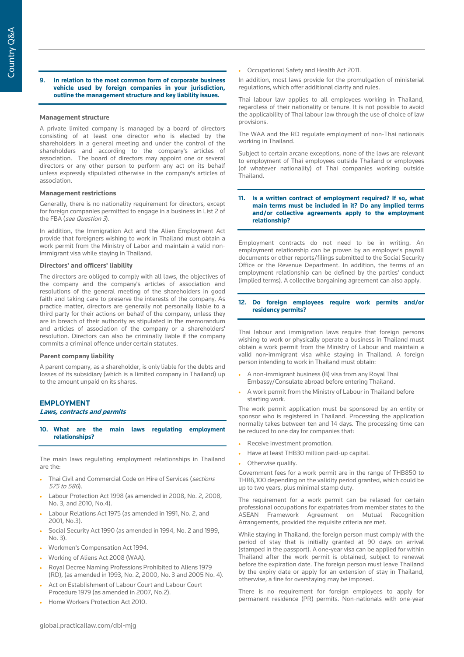#### **9. In relation to the most common form of corporate business vehicle used by foreign companies in your jurisdiction, outline the management structure and key liability issues.**

#### **Management structure**

A private limited company is managed by a board of directors consisting of at least one director who is elected by the shareholders in a general meeting and under the control of the shareholders and according to the company's articles of association. The board of directors may appoint one or several directors or any other person to perform any act on its behalf unless expressly stipulated otherwise in the company's articles of association.

#### **Management restrictions**

Generally, there is no nationality requirement for directors, except for foreign companies permitted to engage in a business in List 2 of the FBA (see Question 3).

In addition, the Immigration Act and the Alien Employment Act provide that foreigners wishing to work in Thailand must obtain a work permit from the Ministry of Labor and maintain a valid nonimmigrant visa while staying in Thailand.

#### **Directors' and officers' liability**

The directors are obliged to comply with all laws, the objectives of the company and the company's articles of association and resolutions of the general meeting of the shareholders in good faith and taking care to preserve the interests of the company. As practice matter, directors are generally not personally liable to a third party for their actions on behalf of the company, unless they are in breach of their authority as stipulated in the memorandum and articles of association of the company or a shareholders' resolution. Directors can also be criminally liable if the company commits a criminal offence under certain statutes.

#### **Parent company liability**

A parent company, as a shareholder, is only liable for the debts and losses of its subsidiary (which is a limited company in Thailand) up to the amount unpaid on its shares.

#### **EMPLOYMENT**

#### **Laws, contracts and permits**

**10. What are the main laws regulating employment relationships?** 

The main laws regulating employment relationships in Thailand are the:

- Thai Civil and Commercial Code on Hire of Services (sections 575 to 586).
- Labour Protection Act 1998 (as amended in 2008, No. 2, 2008, No. 3, and 2010, No.4).
- Labour Relations Act 1975 (as amended in 1991, No. 2, and 2001, No.3).
- Social Security Act 1990 (as amended in 1994, No. 2 and 1999, No. 3).
- Workmen's Compensation Act 1994.
- Working of Aliens Act 2008 (WAA).
- Royal Decree Naming Professions Prohibited to Aliens 1979 (RD), (as amended in 1993, No. 2, 2000, No. 3 and 2005 No. 4).
- Act on Establishment of Labour Court and Labour Court Procedure 1979 (as amended in 2007, No.2).
- Home Workers Protection Act 2010.

• Occupational Safety and Health Act 2011.

In addition, most laws provide for the promulgation of ministerial regulations, which offer additional clarity and rules.

Thai labour law applies to all employees working in Thailand, regardless of their nationality or tenure. It is not possible to avoid the applicability of Thai labour law through the use of choice of law provisions.

The WAA and the RD regulate employment of non-Thai nationals working in Thailand.

Subject to certain arcane exceptions, none of the laws are relevant to employment of Thai employees outside Thailand or employees (of whatever nationality) of Thai companies working outside Thailand.

#### **11. Is a written contract of employment required? If so, what main terms must be included in it? Do any implied terms and/or collective agreements apply to the employment relationship?**

Employment contracts do not need to be in writing. An employment relationship can be proven by an employer's payroll documents or other reports/filings submitted to the Social Security Office or the Revenue Department. In addition, the terms of an employment relationship can be defined by the parties' conduct (implied terms). A collective bargaining agreement can also apply.

### **12. Do foreign employees require work permits and/or residency permits?**

Thai labour and immigration laws require that foreign persons wishing to work or physically operate a business in Thailand must obtain a work permit from the Ministry of Labour and maintain a valid non-immigrant visa while staying in Thailand. A foreign person intending to work in Thailand must obtain:

- A non-immigrant business (B) visa from any Royal Thai Embassy/Consulate abroad before entering Thailand.
- A work permit from the Ministry of Labour in Thailand before starting work.

The work permit application must be sponsored by an entity or sponsor who is registered in Thailand. Processing the application normally takes between ten and 14 days. The processing time can be reduced to one day for companies that:

- Receive investment promotion.
- Have at least THB30 million paid-up capital.
- Otherwise qualify.

Government fees for a work permit are in the range of THB850 to THB6,100 depending on the validity period granted, which could be up to two years, plus minimal stamp duty.

The requirement for a work permit can be relaxed for certain professional occupations for expatriates from member states to the ASEAN Framework Agreement on Mutual Recognition Arrangements, provided the requisite criteria are met.

While staying in Thailand, the foreign person must comply with the period of stay that is initially granted at 90 days on arrival (stamped in the passport). A one-year visa can be applied for within Thailand after the work permit is obtained, subject to renewal before the expiration date. The foreign person must leave Thailand by the expiry date or apply for an extension of stay in Thailand, otherwise, a fine for overstaying may be imposed.

There is no requirement for foreign employees to apply for permanent residence (PR) permits. Non-nationals with one-year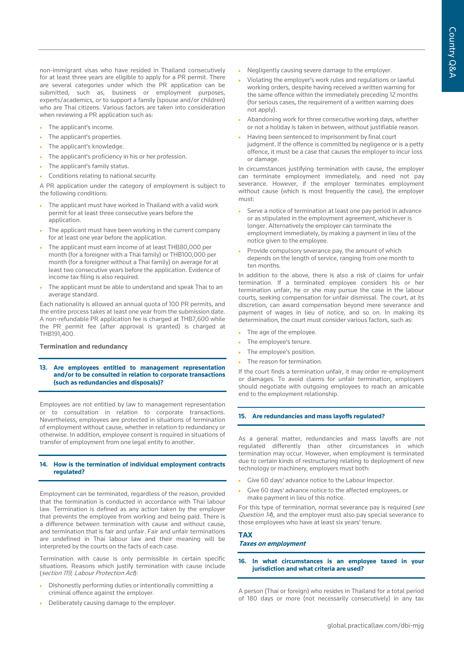non-immigrant visas who have resided in Thailand consecutively for at least three years are eligible to apply for a PR permit. There are several categories under which the PR application can be submitted, such as, business or employment purposes, experts/academics, or to support a family (spouse and/or children) who are Thai citizens. Various factors are taken into consideration when reviewing a PR application such as:

- The applicant's income.
- The applicant's properties.
- The applicant's knowledge.
- The applicant's proficiency in his or her profession.
- The applicant's family status.

• Conditions relating to national security.

A PR application under the category of employment is subject to the following conditions:

- The applicant must have worked in Thailand with a valid work permit for at least three consecutive years before the application.
- The applicant must have been working in the current company for at least one year before the application.
- The applicant must earn income of at least THB80,000 per month (for a foreigner with a Thai family) or THB100,000 per month (for a foreigner without a Thai family) on average for at least two consecutive years before the application. Evidence of income tax filing is also required.
- The applicant must be able to understand and speak Thai to an average standard.

Each nationality is allowed an annual quota of 100 PR permits, and the entire process takes at least one year from the submission date. A non-refundable PR application fee is charged at THB7,600 while the PR permit fee (after approval is granted) is charged at THB191,400.

## **Termination and redundancy**

#### **13. Are employees entitled to management representation and/or to be consulted in relation to corporate transactions (such as redundancies and disposals)?**

Employees are not entitled by law to management representation or to consultation in relation to corporate transactions. Nevertheless, employees are protected in situations of termination of employment without cause, whether in relation to redundancy or otherwise. In addition, employee consent is required in situations of transfer of employment from one legal entity to another.

## **14. How is the termination of individual employment contracts regulated?**

Employment can be terminated, regardless of the reason, provided that the termination is conducted in accordance with Thai labour law. Termination is defined as any action taken by the employer that prevents the employee from working and being paid. There is a difference between termination with cause and without cause, and termination that is fair and unfair. Fair and unfair terminations are undefined in Thai labour law and their meaning will be interpreted by the courts on the facts of each case.

Termination with cause is only permissible in certain specific situations. Reasons which justify termination with cause include (section 119, Labour Protection Act):

- Dishonestly performing duties or intentionally committing a criminal offence against the employer.
- Deliberately causing damage to the employer.
- Negligently causing severe damage to the employer.
- Violating the employer's work rules and regulations or lawful working orders, despite having received a written warning for the same offence within the immediately preceding 12 months (for serious cases, the requirement of a written warning does not apply).
- Abandoning work for three consecutive working days, whether or not a holiday is taken in between, without justifiable reason.
- Having been sentenced to imprisonment by final court judgment. If the offence is committed by negligence or is a petty offence, it must be a case that causes the employer to incur loss or damage.

In circumstances justifying termination with cause, the employer can terminate employment immediately, and need not pay severance. However, if the employer terminates employment without cause (which is most frequently the case), the employer must:

- Serve a notice of termination at least one pay period in advance or as stipulated in the employment agreement, whichever is longer. Alternatively the employer can terminate the employment immediately, by making a payment in lieu of the notice given to the employee.
- Provide compulsory severance pay, the amount of which depends on the length of service, ranging from one month to ten months.

In addition to the above, there is also a risk of claims for unfair termination. If a terminated employee considers his or her termination unfair, he or she may pursue the case in the labour courts, seeking compensation for unfair dismissal. The court, at its discretion, can award compensation beyond mere severance and payment of wages in lieu of notice, and so on. In making its determination, the court must consider various factors, such as:

- The age of the employee.
- The employee's tenure.
- The employee's position.
- The reason for termination.

If the court finds a termination unfair, it may order re-employment or damages. To avoid claims for unfair termination, employers should negotiate with outgoing employees to reach an amicable end to the employment relationship.

## **15. Are redundancies and mass layoffs regulated?**

As a general matter, redundancies and mass layoffs are not regulated differently than other circumstances in which termination may occur. However, when employment is terminated due to certain kinds of restructuring relating to deployment of new technology or machinery, employers must both:

- Give 60 days' advance notice to the Labour Inspector.
- Give 60 days' advance notice to the affected employees, or make payment in lieu of this notice.

For this type of termination, normal severance pay is required (see Question 14), and the employer must also pay special severance to those employees who have at least six years' tenure.

#### **TAX Taxes on employment**

#### **16. In what circumstances is an employee taxed in your jurisdiction and what criteria are used?**

A person (Thai or foreign) who resides in Thailand for a total period of 180 days or more (not necessarily consecutively) in any tax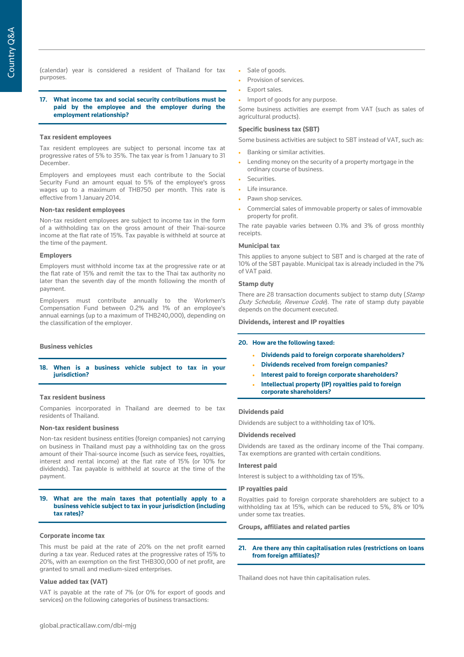#### **17. What income tax and social security contributions must be paid by the employee and the employer during the employment relationship?**

#### **Tax resident employees**

Tax resident employees are subject to personal income tax at progressive rates of 5% to 35%. The tax year is from 1 January to 31 December.

Employers and employees must each contribute to the Social Security Fund an amount equal to 5% of the employee's gross wages up to a maximum of THB750 per month. This rate is effective from 1 January 2014.

#### **Non-tax resident employees**

Non-tax resident employees are subject to income tax in the form of a withholding tax on the gross amount of their Thai-source income at the flat rate of 15%. Tax payable is withheld at source at the time of the payment.

#### **Employers**

Employers must withhold income tax at the progressive rate or at the flat rate of 15% and remit the tax to the Thai tax authority no later than the seventh day of the month following the month of payment.

Employers must contribute annually to the Workmen's Compensation Fund between 0.2% and 1% of an employee's annual earnings (up to a maximum of THB240,000), depending on the classification of the employer.

#### **Business vehicles**

**18. When is a business vehicle subject to tax in your jurisdiction?**

#### **Tax resident business**

Companies incorporated in Thailand are deemed to be tax residents of Thailand.

#### **Non-tax resident business**

Non-tax resident business entities (foreign companies) not carrying on business in Thailand must pay a withholding tax on the gross amount of their Thai-source income (such as service fees, royalties, interest and rental income) at the flat rate of 15% (or 10% for dividends). Tax payable is withheld at source at the time of the payment.

#### **19. What are the main taxes that potentially apply to a business vehicle subject to tax in your jurisdiction (including tax rates)?**

#### **Corporate income tax**

This must be paid at the rate of 20% on the net profit earned during a tax year. Reduced rates at the progressive rates of 15% to 20%, with an exemption on the first THB300,000 of net profit, are granted to small and medium-sized enterprises.

#### **Value added tax (VAT)**

VAT is payable at the rate of 7% (or 0% for export of goods and services) on the following categories of business transactions:

- Sale of goods.
- Provision of services.
- Export sales.
- Import of goods for any purpose.

Some business activities are exempt from VAT (such as sales of agricultural products).

#### **Specific business tax (SBT)**

Some business activities are subject to SBT instead of VAT, such as:

- Banking or similar activities.
- Lending money on the security of a property mortgage in the ordinary course of business.
- **Securities**
- Life insurance.
- Pawn shop services.
- Commercial sales of immovable property or sales of immovable property for profit.

The rate payable varies between 0.1% and 3% of gross monthly receipts.

#### **Municipal tax**

This applies to anyone subject to SBT and is charged at the rate of 10% of the SBT payable. Municipal tax is already included in the 7% of VAT paid.

#### **Stamp duty**

There are 28 transaction documents subject to stamp duty (Stamp Duty Schedule, Revenue Code). The rate of stamp duty payable depends on the document executed.

**Dividends, interest and IP royalties**

#### **20. How are the following taxed:**

- **Dividends paid to foreign corporate shareholders?**
- **Dividends received from foreign companies?**
- **Interest paid to foreign corporate shareholders?**
- **Intellectual property (IP) royalties paid to foreign corporate shareholders?**

#### **Dividends paid**

Dividends are subject to a withholding tax of 10%.

#### **Dividends received**

Dividends are taxed as the ordinary income of the Thai company. Tax exemptions are granted with certain conditions.

#### **Interest paid**

Interest is subject to a withholding tax of 15%.

#### **IP royalties paid**

Royalties paid to foreign corporate shareholders are subject to a withholding tax at 15%, which can be reduced to 5%, 8% or 10% under some tax treaties.

#### **Groups, affiliates and related parties**

#### **21. Are there any thin capitalisation rules (restrictions on loans from foreign affiliates)?**

Thailand does not have thin capitalisation rules.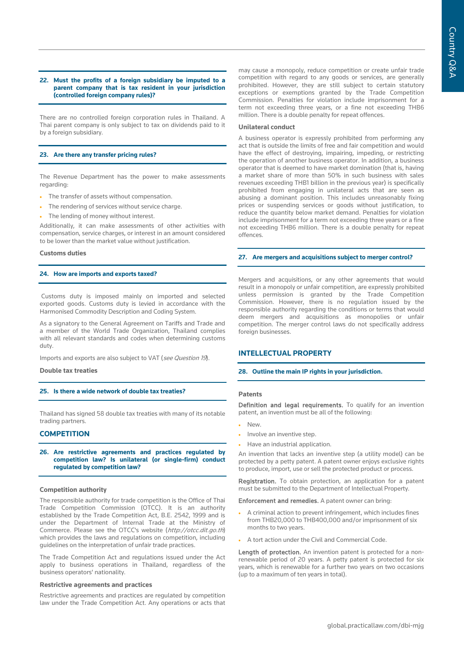#### **22. Must the profits of a foreign subsidiary be imputed to a parent company that is tax resident in your jurisdiction (controlled foreign company rules)?**

There are no controlled foreign corporation rules in Thailand. A Thai parent company is only subject to tax on dividends paid to it by a foreign subsidiary.

#### **23. Are there any transfer pricing rules?**

The Revenue Department has the power to make assessments regarding:

- The transfer of assets without compensation.
- The rendering of services without service charge.
- The lending of money without interest.

Additionally, it can make assessments of other activities with compensation, service charges, or interest in an amount considered to be lower than the market value without justification.

#### **Customs duties**

#### **24. How are imports and exports taxed?**

Customs duty is imposed mainly on imported and selected exported goods. Customs duty is levied in accordance with the Harmonised Commodity Description and Coding System.

As a signatory to the General Agreement on Tariffs and Trade and a member of the World Trade Organization, Thailand complies with all relevant standards and codes when determining customs duty.

Imports and exports are also subject to VAT (see Question 19).

#### **Double tax treaties**

#### **25. Is there a wide network of double tax treaties?**

Thailand has signed 58 double tax treaties with many of its notable trading partners.

#### **COMPETITION**

#### **26. Are restrictive agreements and practices regulated by competition law? Is unilateral (or single-firm) conduct regulated by competition law?**

#### **Competition authority**

The responsible authority for trade competition is the Office of Thai Trade Competition Commission (OTCC). It is an authority established by the Trade Competition Act, B.E. 2542, 1999 and is under the Department of Internal Trade at the Ministry of Commerce. Please see the OTCC's website (http://otcc.dit.go.th) which provides the laws and regulations on competition, including guidelines on the interpretation of unfair trade practices.

The Trade Competition Act and regulations issued under the Act apply to business operations in Thailand, regardless of the business operators' nationality.

#### **Restrictive agreements and practices**

Restrictive agreements and practices are regulated by competition law under the Trade Competition Act. Any operations or acts that may cause a monopoly, reduce competition or create unfair trade competition with regard to any goods or services, are generally prohibited. However, they are still subject to certain statutory exceptions or exemptions granted by the Trade Competition Commission. Penalties for violation include imprisonment for a term not exceeding three years, or a fine not exceeding THB6 million. There is a double penalty for repeat offences.

#### **Unilateral conduct**

A business operator is expressly prohibited from performing any act that is outside the limits of free and fair competition and would have the effect of destroying, impairing, impeding, or restricting the operation of another business operator. In addition, a business operator that is deemed to have market domination (that is, having a market share of more than 50% in such business with sales revenues exceeding THB1 billion in the previous year) is specifically prohibited from engaging in unilateral acts that are seen as abusing a dominant position. This includes unreasonably fixing prices or suspending services or goods without justification, to reduce the quantity below market demand. Penalties for violation include imprisonment for a term not exceeding three years or a fine not exceeding THB6 million. There is a double penalty for repeat offences.

#### **27. Are mergers and acquisitions subject to merger control?**

Mergers and acquisitions, or any other agreements that would result in a monopoly or unfair competition, are expressly prohibited unless permission is granted by the Trade Competition Commission. However, there is no regulation issued by the responsible authority regarding the conditions or terms that would deem mergers and acquisitions as monopolies or unfair competition. The merger control laws do not specifically address foreign businesses.

### **INTELLECTUAL PROPERTY**

#### **28. Outline the main IP rights in your jurisdiction.**

#### **Patents**

Definition and legal requirements. To qualify for an invention patent, an invention must be all of the following:

- New.
- Involve an inventive step.
- Have an industrial application.

An invention that lacks an inventive step (a utility model) can be protected by a petty patent. A patent owner enjoys exclusive rights to produce, import, use or sell the protected product or process.

Registration. To obtain protection, an application for a patent must be submitted to the Department of Intellectual Property.

Enforcement and remedies. A patent owner can bring:

- A criminal action to prevent infringement, which includes fines from THB20,000 to THB400,000 and/or imprisonment of six months to two years.
- A tort action under the Civil and Commercial Code.

Length of protection. An invention patent is protected for a nonrenewable period of 20 years. A petty patent is protected for six years, which is renewable for a further two years on two occasions (up to a maximum of ten years in total).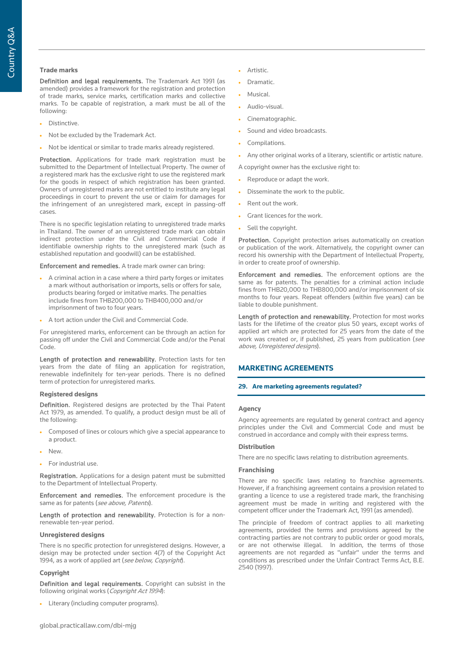## **Trade marks**

Definition and legal requirements. The Trademark Act 1991 (as amended) provides a framework for the registration and protection of trade marks, service marks, certification marks and collective marks. To be capable of registration, a mark must be all of the following:

- Distinctive.
- Not be excluded by the Trademark Act.
- Not be identical or similar to trade marks already registered.

Protection. Applications for trade mark registration must be submitted to the Department of Intellectual Property. The owner of a registered mark has the exclusive right to use the registered mark for the goods in respect of which registration has been granted. Owners of unregistered marks are not entitled to institute any legal proceedings in court to prevent the use or claim for damages for the infringement of an unregistered mark, except in passing-off cases.

There is no specific legislation relating to unregistered trade marks in Thailand. The owner of an unregistered trade mark can obtain indirect protection under the Civil and Commercial Code if identifiable ownership rights to the unregistered mark (such as established reputation and goodwill) can be established.

Enforcement and remedies. A trade mark owner can bring:

- A criminal action in a case where a third party forges or imitates a mark without authorisation or imports, sells or offers for sale, products bearing forged or imitative marks. The penalties include fines from THB200,000 to THB400,000 and/or imprisonment of two to four years.
- A tort action under the Civil and Commercial Code.

For unregistered marks, enforcement can be through an action for passing off under the Civil and Commercial Code and/or the Penal Code.

Length of protection and renewability. Protection lasts for ten years from the date of filing an application for registration, renewable indefinitely for ten-year periods. There is no defined term of protection for unregistered marks.

#### **Registered designs**

Definition. Registered designs are protected by the Thai Patent Act 1979, as amended. To qualify, a product design must be all of the following:

- Composed of lines or colours which give a special appearance to a product.
- New.
- For industrial use.

Registration. Applications for a design patent must be submitted to the Department of Intellectual Property.

Enforcement and remedies. The enforcement procedure is the same as for patents (see above, Patents).

Length of protection and renewability. Protection is for a nonrenewable ten-year period.

#### **Unregistered designs**

There is no specific protection for unregistered designs. However, a design may be protected under section 4(7) of the Copyright Act 1994, as a work of applied art (see below, Copyright).

#### **Copyright**

Definition and legal requirements. Copyright can subsist in the following original works (Copyright Act 1994):

• Literary (including computer programs).

- Artistic.
- Dramatic.
- Musical.
- Audio-visual.
- Cinematographic.
- Sound and video broadcasts.
- Compilations.
- Any other original works of a literary, scientific or artistic nature.

A copyright owner has the exclusive right to:

- Reproduce or adapt the work.
- Disseminate the work to the public.
- Rent out the work.
- Grant licences for the work.
- Sell the copyright.

Protection. Copyright protection arises automatically on creation or publication of the work. Alternatively, the copyright owner can record his ownership with the Department of Intellectual Property, in order to create proof of ownership.

Enforcement and remedies. The enforcement options are the same as for patents. The penalties for a criminal action include fines from THB20,000 to THB800,000 and/or imprisonment of six months to four years. Repeat offenders (within five years) can be liable to double punishment.

Length of protection and renewability. Protection for most works lasts for the lifetime of the creator plus 50 years, except works of applied art which are protected for 25 years from the date of the work was created or, if published, 25 years from publication (see above, Unregistered designs).

## **MARKETING AGREEMENTS**

#### **29. Are marketing agreements regulated?**

#### **Agency**

Agency agreements are regulated by general contract and agency principles under the Civil and Commercial Code and must be construed in accordance and comply with their express terms.

### **Distribution**

There are no specific laws relating to distribution agreements.

#### **Franchising**

There are no specific laws relating to franchise agreements. However, if a franchising agreement contains a provision related to granting a licence to use a registered trade mark, the franchising agreement must be made in writing and registered with the competent officer under the Trademark Act, 1991 (as amended).

The principle of freedom of contract applies to all marketing agreements, provided the terms and provisions agreed by the contracting parties are not contrary to public order or good morals, or are not otherwise illegal. In addition, the terms of those agreements are not regarded as "unfair" under the terms and conditions as prescribed under the Unfair Contract Terms Act, B.E. 2540 (1997).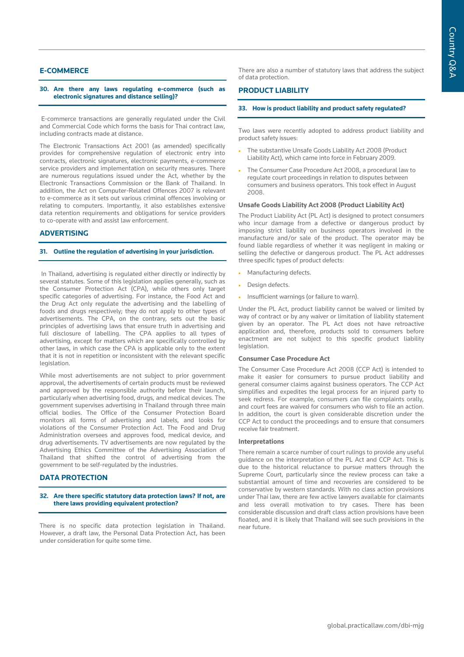## **E-COMMERCE**

#### **30. Are there any laws regulating e-commerce (such as electronic signatures and distance selling)?**

E-commerce transactions are generally regulated under the Civil and Commercial Code which forms the basis for Thai contract law, including contracts made at distance.

The Electronic Transactions Act 2001 (as amended) specifically provides for comprehensive regulation of electronic entry into contracts, electronic signatures, electronic payments, e-commerce service providers and implementation on security measures. There are numerous regulations issued under the Act, whether by the Electronic Transactions Commission or the Bank of Thailand. In addition, the Act on Computer-Related Offences 2007 is relevant to e-commerce as it sets out various criminal offences involving or relating to computers. Importantly, it also establishes extensive data retention requirements and obligations for service providers to co-operate with and assist law enforcement.

## **ADVERTISING**

#### **31. Outline the regulation of advertising in your jurisdiction.**

In Thailand, advertising is regulated either directly or indirectly by several statutes. Some of this legislation applies generally, such as the Consumer Protection Act (CPA), while others only target specific categories of advertising. For instance, the Food Act and the Drug Act only regulate the advertising and the labelling of foods and drugs respectively; they do not apply to other types of advertisements. The CPA, on the contrary, sets out the basic principles of advertising laws that ensure truth in advertising and full disclosure of labelling. The CPA applies to all types of advertising, except for matters which are specifically controlled by other laws, in which case the CPA is applicable only to the extent that it is not in repetition or inconsistent with the relevant specific legislation.

While most advertisements are not subject to prior government approval, the advertisements of certain products must be reviewed and approved by the responsible authority before their launch, particularly when advertising food, drugs, and medical devices. The government supervises advertising in Thailand through three main official bodies. The Office of the Consumer Protection Board monitors all forms of advertising and labels, and looks for violations of the Consumer Protection Act. The Food and Drug Administration oversees and approves food, medical device, and drug advertisements. TV advertisements are now regulated by the Advertising Ethics Committee of the Advertising Association of Thailand that shifted the control of advertising from the government to be self-regulated by the industries.

## **DATA PROTECTION**

#### **32. Are there specific statutory data protection laws? If not, are there laws providing equivalent protection?**

There is no specific data protection legislation in Thailand. However, a draft law, the Personal Data Protection Act, has been under consideration for quite some time.

There are also a number of statutory laws that address the subject of data protection.

## **PRODUCT LIABILITY**

#### **33. How is product liability and product safety regulated?**

Two laws were recently adopted to address product liability and product safety issues:

- The substantive Unsafe Goods Liability Act 2008 (Product Liability Act), which came into force in February 2009.
- The Consumer Case Procedure Act 2008, a procedural law to regulate court proceedings in relation to disputes between consumers and business operators. This took effect in August 2008.

#### **Unsafe Goods Liability Act 2008 (Product Liability Act)**

The Product Liability Act (PL Act) is designed to protect consumers who incur damage from a defective or dangerous product by imposing strict liability on business operators involved in the manufacture and/or sale of the product. The operator may be found liable regardless of whether it was negligent in making or selling the defective or dangerous product. The PL Act addresses three specific types of product defects:

- Manufacturing defects.
- Design defects.
- Insufficient warnings (or failure to warn).

Under the PL Act, product liability cannot be waived or limited by way of contract or by any waiver or limitation of liability statement given by an operator. The PL Act does not have retroactive application and, therefore, products sold to consumers before enactment are not subject to this specific product liability legislation.

#### **Consumer Case Procedure Act**

The Consumer Case Procedure Act 2008 (CCP Act) is intended to make it easier for consumers to pursue product liability and general consumer claims against business operators. The CCP Act simplifies and expedites the legal process for an injured party to seek redress. For example, consumers can file complaints orally, and court fees are waived for consumers who wish to file an action. In addition, the court is given considerable discretion under the CCP Act to conduct the proceedings and to ensure that consumers receive fair treatment.

#### **Interpretations**

There remain a scarce number of court rulings to provide any useful guidance on the interpretation of the PL Act and CCP Act. This is due to the historical reluctance to pursue matters through the Supreme Court, particularly since the review process can take a substantial amount of time and recoveries are considered to be conservative by western standards. With no class action provisions under Thai law, there are few active lawyers available for claimants and less overall motivation to try cases. There has been considerable discussion and draft class action provisions have been floated, and it is likely that Thailand will see such provisions in the near future.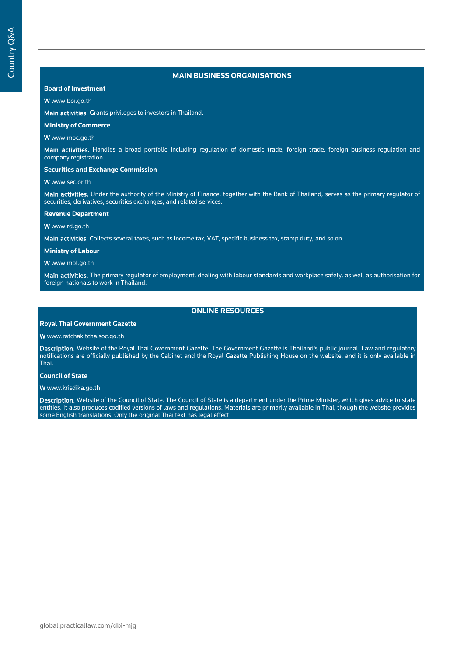## **MAIN BUSINESS ORGANISATIONS**

## **Board of Investment**

#### W www.boi.go.th

Main activities. Grants privileges to investors in Thailand.

## **Ministry of Commerce**

W www.moc.go.th

Main activities. Handles a broad portfolio including regulation of domestic trade, foreign trade, foreign business regulation and company registration.

#### **Securities and Exchange Commission**

#### W www.sec.or.th

Main activities. Under the authority of the Ministry of Finance, together with the Bank of Thailand, serves as the primary regulator of securities, derivatives, securities exchanges, and related services.

#### **Revenue Department**

W www.rd.go.th

Main activities. Collects several taxes, such as income tax, VAT, specific business tax, stamp duty, and so on.

#### **Ministry of Labour**

W www.mol.go.th

Main activities. The primary regulator of employment, dealing with labour standards and workplace safety, as well as authorisation for foreign nationals to work in Thailand.

## **ONLINE RESOURCES**

### **Royal Thai Government Gazette**

#### W www.ratchakitcha.soc.go.th

Description. Website of the Royal Thai Government Gazette. The Government Gazette is Thailand's public journal. Law and regulatory notifications are officially published by the Cabinet and the Royal Gazette Publishing House on the website, and it is only available in Thai.

#### **Council of State**

#### W www.krisdika.go.th

Description. Website of the Council of State. The Council of State is a department under the Prime Minister, which gives advice to state entities. It also produces codified versions of laws and regulations. Materials are primarily available in Thai, though the website provides some English translations. Only the original Thai text has legal effect.